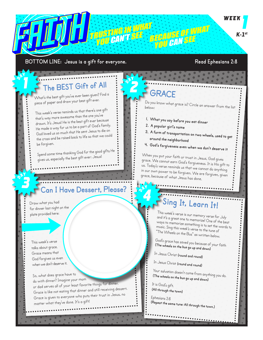# **FRUSTING IN WHAT**<br>TRUSTING IN WHAT SEE BECAUSE OF WHAT WAS K-1st<br>YOU CAN'T SEE BECAUSE OF WHAT WAT WAS ARRESTED WAS

#### **BOTTOM LINE: Jesus is a gift for everyone. Read Ephesians 2:8**

٦

#### **The BEST Gift of All**

What's the best gift you've ever been given? Find a piece of paper and draw your best gift ever.

This week's verse reminds us that there's one gift that's way more awesome than the one you've drawn. It's Jesus! He is the best gift ever because He made a way for us to be a part of God's family. God loved us so much that He sent Jesus to die on the cross and be raised back to life so that we could be forgiven.

Spend some time thanking God for the good gifts He gives us, especially the best gift ever: Jesus!

#### **Can I Have Dessert, Please?**

Draw what you had for dinner last night on the <sup>p</sup>late provided here:

This week's verse talks about grace. Grace means that God forgives us even when we don't deserve it.

So, what does grace have to do with dinner? Imagine your mom or dad serves all of your least favorite things for dinner. Grace is like not eating that dinner and still receiving dessert. Grace is given to everyone who puts their trust in Jesus, no matter what they've done. It's a gift!

## **GRACE**

Do you know what grace is? Circle an answer from the list below:

- **1. What you say before you eat dinner**
- **2. A popular girl's name**
- **3. A form of transportation on two wheels, used to get around the neighborhood**
- **4. God's forgiveness even when we don't deserve it**

When you put your faith or trust in Jesus, God gives grace. We cannot earn God's forgiveness. It is His gift to us. Today's verse reminds us that we cannot do anything in our own power to be forgiven. We are forgiven, given grace, because of what Jesus has done.

## **Sing It, Learn It!**

This week's verse is our memory verse for July and it's a great one to memorize! One of the best ways to memorize something is to set the words to music. Sing this week's verse to the tune of "The Wheels on the Bus" as written below.

God's grace has saved you because of your faith **(The wheels on the bus go up and down)**

In Jesus Christ **(round and round)**

In Jesus Christ **(round and round)**

Your salvation doesn't come from anything you do. **(The wheels on the bus go up and down)**

It is God's gift. **(All through the town)**

Ephesians 2:8 **(Repeat the same tune: All through the town.)**